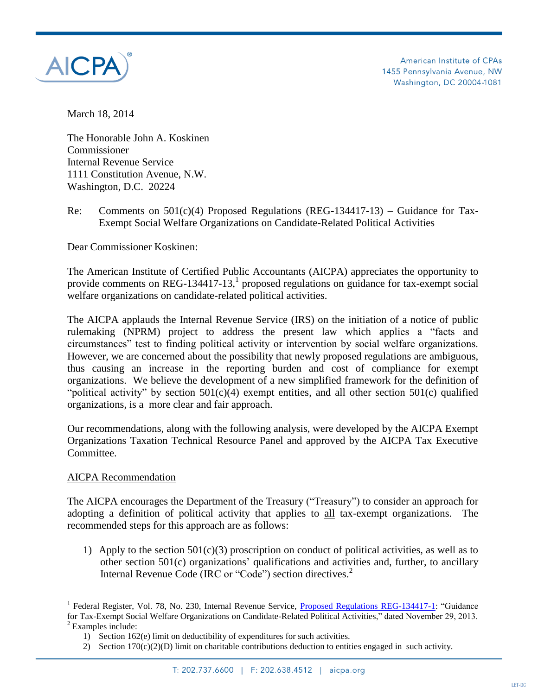

American Institute of CPAs 1455 Pennsylvania Avenue, NW Washington, DC 20004-1081

March 18, 2014

The Honorable John A. Koskinen Commissioner Internal Revenue Service 1111 Constitution Avenue, N.W. Washington, D.C. 20224

Re: Comments on  $501(c)(4)$  Proposed Regulations (REG-134417-13) – Guidance for Tax-Exempt Social Welfare Organizations on Candidate-Related Political Activities

Dear Commissioner Koskinen:

The American Institute of Certified Public Accountants (AICPA) appreciates the opportunity to provide comments on REG-134417-13,<sup>1</sup> proposed regulations on guidance for tax-exempt social welfare organizations on candidate-related political activities.

The AICPA applauds the Internal Revenue Service (IRS) on the initiation of a notice of public rulemaking (NPRM) project to address the present law which applies a "facts and circumstances" test to finding political activity or intervention by social welfare organizations. However, we are concerned about the possibility that newly proposed regulations are ambiguous, thus causing an increase in the reporting burden and cost of compliance for exempt organizations. We believe the development of a new simplified framework for the definition of "political activity" by section  $501(c)(4)$  exempt entities, and all other section  $501(c)$  qualified organizations, is a more clear and fair approach.

Our recommendations, along with the following analysis, were developed by the AICPA Exempt Organizations Taxation Technical Resource Panel and approved by the AICPA Tax Executive Committee.

## AICPA Recommendation

 $\overline{a}$ 

The AICPA encourages the Department of the Treasury ("Treasury") to consider an approach for adopting a definition of political activity that applies to all tax-exempt organizations. The recommended steps for this approach are as follows:

1) Apply to the section  $501(c)(3)$  proscription on conduct of political activities, as well as to other section 501(c) organizations' qualifications and activities and, further, to ancillary Internal Revenue Code (IRC or "Code") section directives.<sup>2</sup>

<sup>1</sup> Federal Register, Vol. 78, No. 230, Internal Revenue Service, [Proposed Regulations REG-134417-1:](http://www.gpo.gov/fdsys/pkg/FR-2013-11-29/pdf/2013-28492.pdf) "Guidance for Tax-Exempt Social Welfare Organizations on Candidate-Related Political Activities," dated November 29, 2013.  $2$  Examples include:

<sup>1)</sup> Section 162(e) limit on deductibility of expenditures for such activities.

<sup>2)</sup> Section 170(c)(2)(D) limit on charitable contributions deduction to entities engaged in such activity.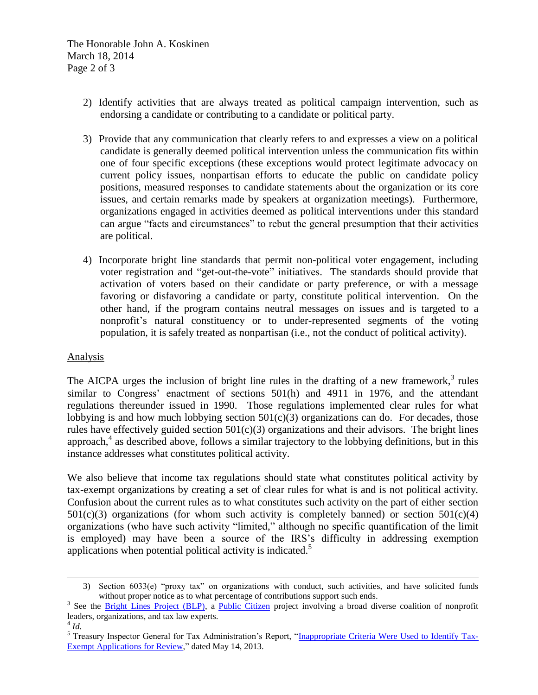The Honorable John A. Koskinen March 18, 2014 Page 2 of 3

- 2) Identify activities that are always treated as political campaign intervention, such as endorsing a candidate or contributing to a candidate or political party.
- 3) Provide that any communication that clearly refers to and expresses a view on a political candidate is generally deemed political intervention unless the communication fits within one of four specific exceptions (these exceptions would protect legitimate advocacy on current policy issues, nonpartisan efforts to educate the public on candidate policy positions, measured responses to candidate statements about the organization or its core issues, and certain remarks made by speakers at organization meetings). Furthermore, organizations engaged in activities deemed as political interventions under this standard can argue "facts and circumstances" to rebut the general presumption that their activities are political.
- 4) Incorporate bright line standards that permit non-political voter engagement, including voter registration and "get-out-the-vote" initiatives. The standards should provide that activation of voters based on their candidate or party preference, or with a message favoring or disfavoring a candidate or party, constitute political intervention. On the other hand, if the program contains neutral messages on issues and is targeted to a nonprofit's natural constituency or to under-represented segments of the voting population, it is safely treated as nonpartisan (i.e., not the conduct of political activity).

## Analysis

The AICPA urges the inclusion of bright line rules in the drafting of a new framework, $3$  rules similar to Congress' enactment of sections 501(h) and 4911 in 1976, and the attendant regulations thereunder issued in 1990. Those regulations implemented clear rules for what lobbying is and how much lobbying section  $501(c)(3)$  organizations can do. For decades, those rules have effectively guided section  $501(c)(3)$  organizations and their advisors. The bright lines approach, 4 as described above, follows a similar trajectory to the lobbying definitions, but in this instance addresses what constitutes political activity.

We also believe that income tax regulations should state what constitutes political activity by tax-exempt organizations by creating a set of clear rules for what is and is not political activity. Confusion about the current rules as to what constitutes such activity on the part of either section  $501(c)(3)$  organizations (for whom such activity is completely banned) or section  $501(c)(4)$ organizations (who have such activity "limited," although no specific quantification of the limit is employed) may have been a source of the IRS's difficulty in addressing exemption applications when potential political activity is indicated.<sup>5</sup>

 $\overline{a}$ 

<sup>3)</sup> Section 6033(e) "proxy tax" on organizations with conduct, such activities, and have solicited funds without proper notice as to what percentage of contributions support such ends.

<sup>&</sup>lt;sup>3</sup> See the *Bright Lines Project (BLP)*, a *Public Citizen* project involving a broad diverse coalition of nonprofit leaders, organizations, and tax law experts.

<sup>4</sup> *Id.*

<sup>&</sup>lt;sup>5</sup> Treasury Inspector General for Tax Administration's Report, ["Inappropriate Criteria Were Used to Identify Tax-](http://www.treasury.gov/tigta/auditreports/2013reports/201310053fr.html)[Exempt Applications for Review,"](http://www.treasury.gov/tigta/auditreports/2013reports/201310053fr.html) dated May 14, 2013.